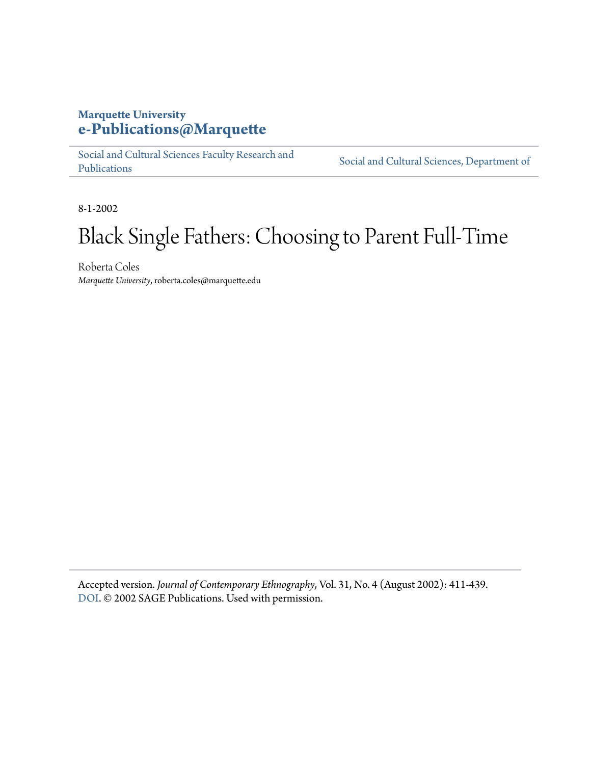## **Marquette University [e-Publications@Marquette](https://epublications.marquette.edu)**

[Social and Cultural Sciences Faculty Research and](https://epublications.marquette.edu/socs_fac) [Publications](https://epublications.marquette.edu/socs_fac)

[Social and Cultural Sciences, Department of](https://epublications.marquette.edu/socs)

8-1-2002

# Black Single Fathers: Choosing to Parent Full-Time

Roberta Coles *Marquette University*, roberta.coles@marquette.edu

Accepted version. *Journal of Contemporary Ethnography*, Vol. 31, No. 4 (August 2002): 411-439. [DOI](http://jfi.sagepub.com/content/early/2013/11/07/0192513X13508405.full). © 2002 SAGE Publications. Used with permission.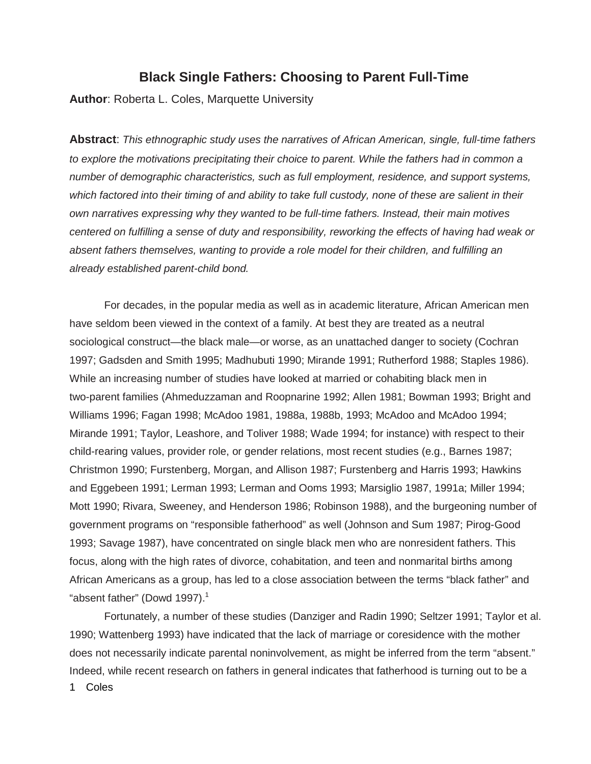## **Black Single Fathers: Choosing to Parent Full-Time**

**Author**: Roberta L. Coles, Marquette University

**Abstract**: *This ethnographic study uses the narratives of African American, single, full-time fathers to explore the motivations precipitating their choice to parent. While the fathers had in common a number of demographic characteristics, such as full employment, residence, and support systems, which factored into their timing of and ability to take full custody, none of these are salient in their own narratives expressing why they wanted to be full-time fathers. Instead, their main motives centered on fulfilling a sense of duty and responsibility, reworking the effects of having had weak or absent fathers themselves, wanting to provide a role model for their children, and fulfilling an already established parent-child bond.* 

For decades, in the popular media as well as in academic literature, African American men have seldom been viewed in the context of a family. At best they are treated as a neutral sociological construct—the black male—or worse, as an unattached danger to society (Cochran 1997; Gadsden and Smith 1995; Madhubuti 1990; Mirande 1991; Rutherford 1988; Staples 1986). While an increasing number of studies have looked at married or cohabiting black men in two-parent families (Ahmeduzzaman and Roopnarine 1992; Allen 1981; Bowman 1993; Bright and Williams 1996; Fagan 1998; McAdoo 1981, 1988a, 1988b, 1993; McAdoo and McAdoo 1994; Mirande 1991; Taylor, Leashore, and Toliver 1988; Wade 1994; for instance) with respect to their child-rearing values, provider role, or gender relations, most recent studies (e.g., Barnes 1987; Christmon 1990; Furstenberg, Morgan, and Allison 1987; Furstenberg and Harris 1993; Hawkins and Eggebeen 1991; Lerman 1993; Lerman and Ooms 1993; Marsiglio 1987, 1991a; Miller 1994; Mott 1990; Rivara, Sweeney, and Henderson 1986; Robinson 1988), and the burgeoning number of government programs on "responsible fatherhood" as well (Johnson and Sum 1987; Pirog-Good 1993; Savage 1987), have concentrated on single black men who are nonresident fathers. This focus, along with the high rates of divorce, cohabitation, and teen and nonmarital births among African Americans as a group, has led to a close association between the terms "black father" and "absent father" (Dowd 1997). 1

1 Coles Fortunately, a number of these studies (Danziger and Radin 1990; Seltzer 1991; Taylor et al. 1990; Wattenberg 1993) have indicated that the lack of marriage or coresidence with the mother does not necessarily indicate parental noninvolvement, as might be inferred from the term "absent." Indeed, while recent research on fathers in general indicates that fatherhood is turning out to be a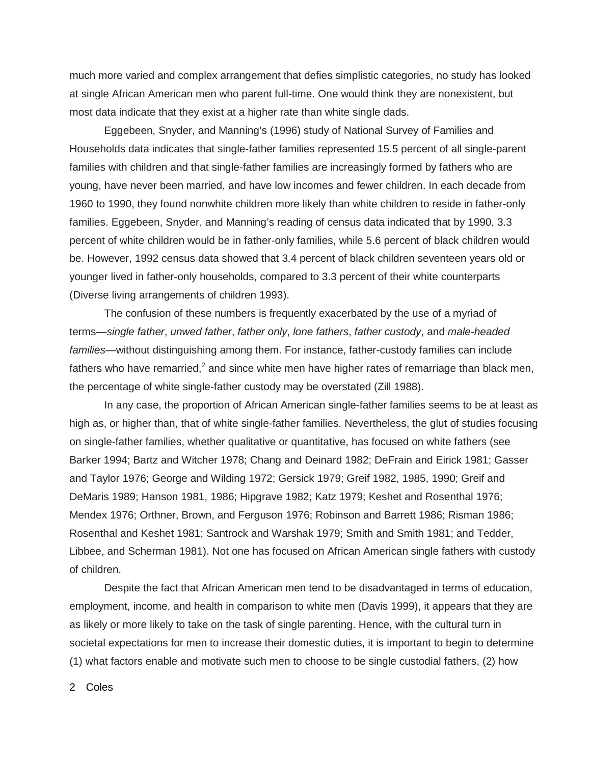much more varied and complex arrangement that defies simplistic categories, no study has looked at single African American men who parent full-time. One would think they are nonexistent, but most data indicate that they exist at a higher rate than white single dads.

Eggebeen, Snyder, and Manning's (1996) study of National Survey of Families and Households data indicates that single-father families represented 15.5 percent of all single-parent families with children and that single-father families are increasingly formed by fathers who are young, have never been married, and have low incomes and fewer children. In each decade from 1960 to 1990, they found nonwhite children more likely than white children to reside in father-only families. Eggebeen, Snyder, and Manning's reading of census data indicated that by 1990, 3.3 percent of white children would be in father-only families, while 5.6 percent of black children would be. However, 1992 census data showed that 3.4 percent of black children seventeen years old or younger lived in father-only households, compared to 3.3 percent of their white counterparts (Diverse living arrangements of children 1993).

The confusion of these numbers is frequently exacerbated by the use of a myriad of terms—*single father*, *unwed father*, *father only*, *lone fathers*, *father custody*, and *male-headed families*—without distinguishing among them. For instance, father-custody families can include fathers who have remarried,<sup>2</sup> and since white men have higher rates of remarriage than black men, the percentage of white single-father custody may be overstated (Zill 1988).

In any case, the proportion of African American single-father families seems to be at least as high as, or higher than, that of white single-father families. Nevertheless, the glut of studies focusing on single-father families, whether qualitative or quantitative, has focused on white fathers (see Barker 1994; Bartz and Witcher 1978; Chang and Deinard 1982; DeFrain and Eirick 1981; Gasser and Taylor 1976; George and Wilding 1972; Gersick 1979; Greif 1982, 1985, 1990; Greif and DeMaris 1989; Hanson 1981, 1986; Hipgrave 1982; Katz 1979; Keshet and Rosenthal 1976; Mendex 1976; Orthner, Brown, and Ferguson 1976; Robinson and Barrett 1986; Risman 1986; Rosenthal and Keshet 1981; Santrock and Warshak 1979; Smith and Smith 1981; and Tedder, Libbee, and Scherman 1981). Not one has focused on African American single fathers with custody of children.

Despite the fact that African American men tend to be disadvantaged in terms of education, employment, income, and health in comparison to white men (Davis 1999), it appears that they are as likely or more likely to take on the task of single parenting. Hence, with the cultural turn in societal expectations for men to increase their domestic duties, it is important to begin to determine (1) what factors enable and motivate such men to choose to be single custodial fathers, (2) how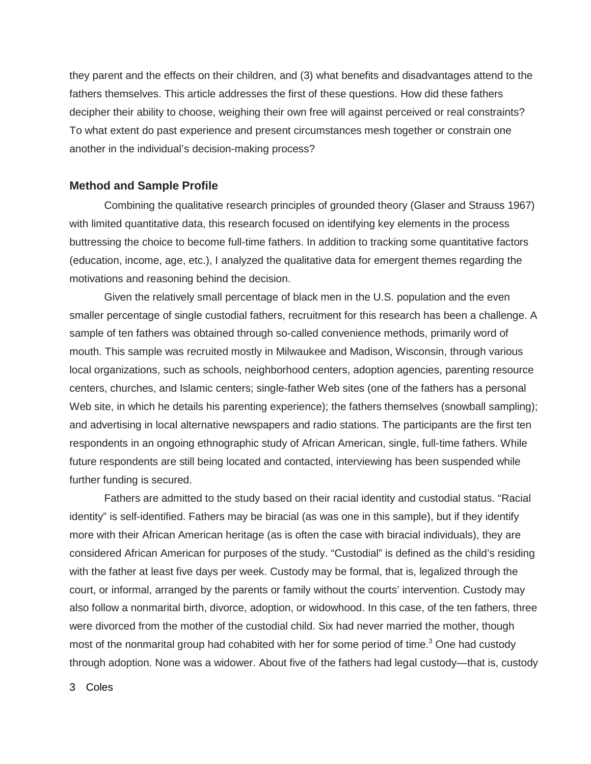they parent and the effects on their children, and (3) what benefits and disadvantages attend to the fathers themselves. This article addresses the first of these questions. How did these fathers decipher their ability to choose, weighing their own free will against perceived or real constraints? To what extent do past experience and present circumstances mesh together or constrain one another in the individual's decision-making process?

### **Method and Sample Profile**

Combining the qualitative research principles of grounded theory (Glaser and Strauss 1967) with limited quantitative data, this research focused on identifying key elements in the process buttressing the choice to become full-time fathers. In addition to tracking some quantitative factors (education, income, age, etc.), I analyzed the qualitative data for emergent themes regarding the motivations and reasoning behind the decision.

Given the relatively small percentage of black men in the U.S. population and the even smaller percentage of single custodial fathers, recruitment for this research has been a challenge. A sample of ten fathers was obtained through so-called convenience methods, primarily word of mouth. This sample was recruited mostly in Milwaukee and Madison, Wisconsin, through various local organizations, such as schools, neighborhood centers, adoption agencies, parenting resource centers, churches, and Islamic centers; single-father Web sites (one of the fathers has a personal Web site, in which he details his parenting experience); the fathers themselves (snowball sampling); and advertising in local alternative newspapers and radio stations. The participants are the first ten respondents in an ongoing ethnographic study of African American, single, full-time fathers. While future respondents are still being located and contacted, interviewing has been suspended while further funding is secured.

Fathers are admitted to the study based on their racial identity and custodial status. "Racial identity" is self-identified. Fathers may be biracial (as was one in this sample), but if they identify more with their African American heritage (as is often the case with biracial individuals), they are considered African American for purposes of the study. "Custodial" is defined as the child's residing with the father at least five days per week. Custody may be formal, that is, legalized through the court, or informal, arranged by the parents or family without the courts' intervention. Custody may also follow a nonmarital birth, divorce, adoption, or widowhood. In this case, of the ten fathers, three were divorced from the mother of the custodial child. Six had never married the mother, though most of the nonmarital group had cohabited with her for some period of time.<sup>3</sup> One had custody through adoption. None was a widower. About five of the fathers had legal custody—that is, custody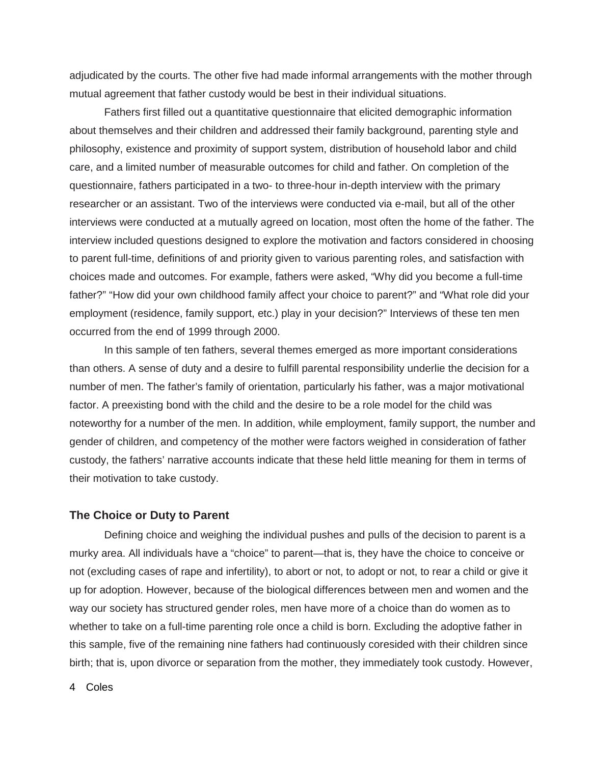adjudicated by the courts. The other five had made informal arrangements with the mother through mutual agreement that father custody would be best in their individual situations.

Fathers first filled out a quantitative questionnaire that elicited demographic information about themselves and their children and addressed their family background, parenting style and philosophy, existence and proximity of support system, distribution of household labor and child care, and a limited number of measurable outcomes for child and father. On completion of the questionnaire, fathers participated in a two- to three-hour in-depth interview with the primary researcher or an assistant. Two of the interviews were conducted via e-mail, but all of the other interviews were conducted at a mutually agreed on location, most often the home of the father. The interview included questions designed to explore the motivation and factors considered in choosing to parent full-time, definitions of and priority given to various parenting roles, and satisfaction with choices made and outcomes. For example, fathers were asked, "Why did you become a full-time father?" "How did your own childhood family affect your choice to parent?" and "What role did your employment (residence, family support, etc.) play in your decision?" Interviews of these ten men occurred from the end of 1999 through 2000.

In this sample of ten fathers, several themes emerged as more important considerations than others. A sense of duty and a desire to fulfill parental responsibility underlie the decision for a number of men. The father's family of orientation, particularly his father, was a major motivational factor. A preexisting bond with the child and the desire to be a role model for the child was noteworthy for a number of the men. In addition, while employment, family support, the number and gender of children, and competency of the mother were factors weighed in consideration of father custody, the fathers' narrative accounts indicate that these held little meaning for them in terms of their motivation to take custody.

#### **The Choice or Duty to Parent**

Defining choice and weighing the individual pushes and pulls of the decision to parent is a murky area. All individuals have a "choice" to parent—that is, they have the choice to conceive or not (excluding cases of rape and infertility), to abort or not, to adopt or not, to rear a child or give it up for adoption. However, because of the biological differences between men and women and the way our society has structured gender roles, men have more of a choice than do women as to whether to take on a full-time parenting role once a child is born. Excluding the adoptive father in this sample, five of the remaining nine fathers had continuously coresided with their children since birth; that is, upon divorce or separation from the mother, they immediately took custody. However,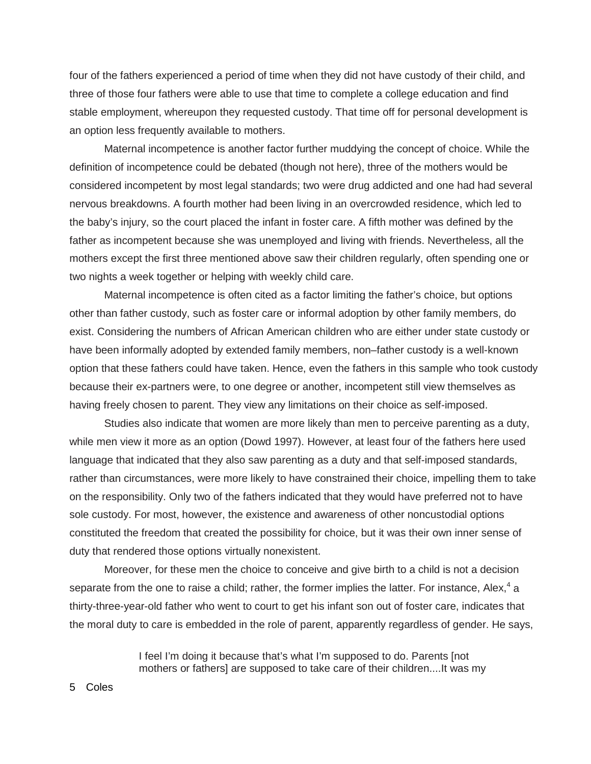four of the fathers experienced a period of time when they did not have custody of their child, and three of those four fathers were able to use that time to complete a college education and find stable employment, whereupon they requested custody. That time off for personal development is an option less frequently available to mothers.

Maternal incompetence is another factor further muddying the concept of choice. While the definition of incompetence could be debated (though not here), three of the mothers would be considered incompetent by most legal standards; two were drug addicted and one had had several nervous breakdowns. A fourth mother had been living in an overcrowded residence, which led to the baby's injury, so the court placed the infant in foster care. A fifth mother was defined by the father as incompetent because she was unemployed and living with friends. Nevertheless, all the mothers except the first three mentioned above saw their children regularly, often spending one or two nights a week together or helping with weekly child care.

Maternal incompetence is often cited as a factor limiting the father's choice, but options other than father custody, such as foster care or informal adoption by other family members, do exist. Considering the numbers of African American children who are either under state custody or have been informally adopted by extended family members, non–father custody is a well-known option that these fathers could have taken. Hence, even the fathers in this sample who took custody because their ex-partners were, to one degree or another, incompetent still view themselves as having freely chosen to parent. They view any limitations on their choice as self-imposed.

Studies also indicate that women are more likely than men to perceive parenting as a duty, while men view it more as an option (Dowd 1997). However, at least four of the fathers here used language that indicated that they also saw parenting as a duty and that self-imposed standards, rather than circumstances, were more likely to have constrained their choice, impelling them to take on the responsibility. Only two of the fathers indicated that they would have preferred not to have sole custody. For most, however, the existence and awareness of other noncustodial options constituted the freedom that created the possibility for choice, but it was their own inner sense of duty that rendered those options virtually nonexistent.

Moreover, for these men the choice to conceive and give birth to a child is not a decision separate from the one to raise a child; rather, the former implies the latter. For instance, Alex,<sup>4</sup> a thirty-three-year-old father who went to court to get his infant son out of foster care, indicates that the moral duty to care is embedded in the role of parent, apparently regardless of gender. He says,

> I feel I'm doing it because that's what I'm supposed to do. Parents [not mothers or fathers] are supposed to take care of their children....It was my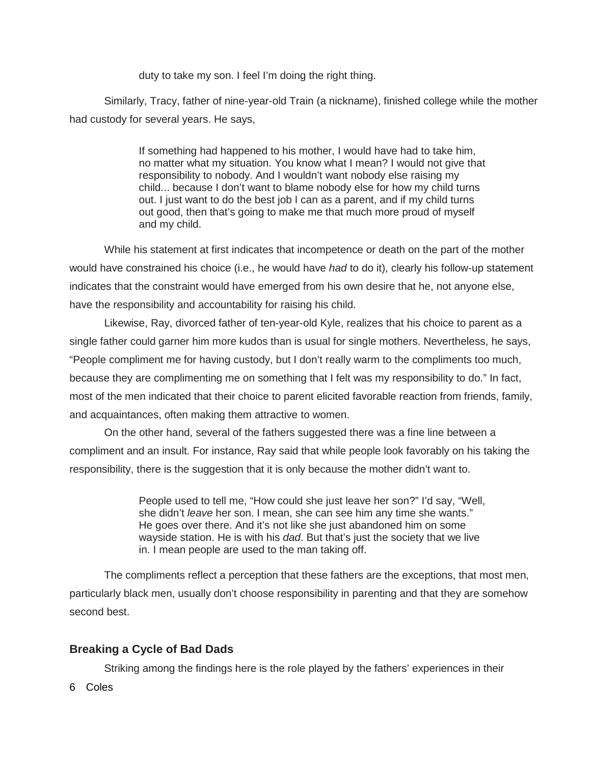duty to take my son. I feel I'm doing the right thing.

Similarly, Tracy, father of nine-year-old Train (a nickname), finished college while the mother had custody for several years. He says,

> If something had happened to his mother, I would have had to take him, no matter what my situation. You know what I mean? I would not give that responsibility to nobody. And I wouldn't want nobody else raising my child... because I don't want to blame nobody else for how my child turns out. I just want to do the best job I can as a parent, and if my child turns out good, then that's going to make me that much more proud of myself and my child.

While his statement at first indicates that incompetence or death on the part of the mother would have constrained his choice (i.e., he would have *had* to do it), clearly his follow-up statement indicates that the constraint would have emerged from his own desire that he, not anyone else, have the responsibility and accountability for raising his child.

Likewise, Ray, divorced father of ten-year-old Kyle, realizes that his choice to parent as a single father could garner him more kudos than is usual for single mothers. Nevertheless, he says, "People compliment me for having custody, but I don't really warm to the compliments too much, because they are complimenting me on something that I felt was my responsibility to do." In fact, most of the men indicated that their choice to parent elicited favorable reaction from friends, family, and acquaintances, often making them attractive to women.

On the other hand, several of the fathers suggested there was a fine line between a compliment and an insult. For instance, Ray said that while people look favorably on his taking the responsibility, there is the suggestion that it is only because the mother didn't want to.

> People used to tell me, "How could she just leave her son?" I'd say, "Well, she didn't *leave* her son. I mean, she can see him any time she wants." He goes over there. And it's not like she just abandoned him on some wayside station. He is with his *dad*. But that's just the society that we live in. I mean people are used to the man taking off.

The compliments reflect a perception that these fathers are the exceptions, that most men, particularly black men, usually don't choose responsibility in parenting and that they are somehow second best.

## **Breaking a Cycle of Bad Dads**

Striking among the findings here is the role played by the fathers' experiences in their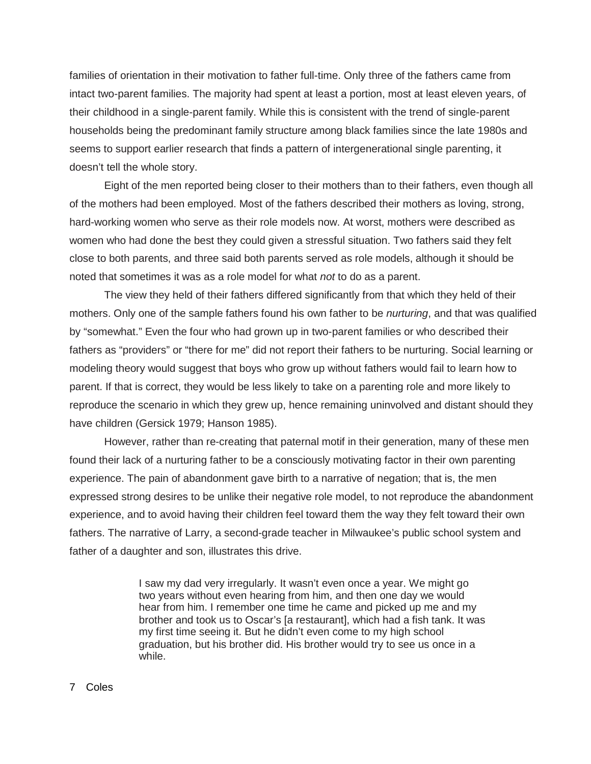families of orientation in their motivation to father full-time. Only three of the fathers came from intact two-parent families. The majority had spent at least a portion, most at least eleven years, of their childhood in a single-parent family. While this is consistent with the trend of single-parent households being the predominant family structure among black families since the late 1980s and seems to support earlier research that finds a pattern of intergenerational single parenting, it doesn't tell the whole story.

Eight of the men reported being closer to their mothers than to their fathers, even though all of the mothers had been employed. Most of the fathers described their mothers as loving, strong, hard-working women who serve as their role models now. At worst, mothers were described as women who had done the best they could given a stressful situation. Two fathers said they felt close to both parents, and three said both parents served as role models, although it should be noted that sometimes it was as a role model for what *not* to do as a parent.

The view they held of their fathers differed significantly from that which they held of their mothers. Only one of the sample fathers found his own father to be *nurturing*, and that was qualified by "somewhat." Even the four who had grown up in two-parent families or who described their fathers as "providers" or "there for me" did not report their fathers to be nurturing. Social learning or modeling theory would suggest that boys who grow up without fathers would fail to learn how to parent. If that is correct, they would be less likely to take on a parenting role and more likely to reproduce the scenario in which they grew up, hence remaining uninvolved and distant should they have children (Gersick 1979; Hanson 1985).

However, rather than re-creating that paternal motif in their generation, many of these men found their lack of a nurturing father to be a consciously motivating factor in their own parenting experience. The pain of abandonment gave birth to a narrative of negation; that is, the men expressed strong desires to be unlike their negative role model, to not reproduce the abandonment experience, and to avoid having their children feel toward them the way they felt toward their own fathers. The narrative of Larry, a second-grade teacher in Milwaukee's public school system and father of a daughter and son, illustrates this drive.

> I saw my dad very irregularly. It wasn't even once a year. We might go two years without even hearing from him, and then one day we would hear from him. I remember one time he came and picked up me and my brother and took us to Oscar's [a restaurant], which had a fish tank. It was my first time seeing it. But he didn't even come to my high school graduation, but his brother did. His brother would try to see us once in a while.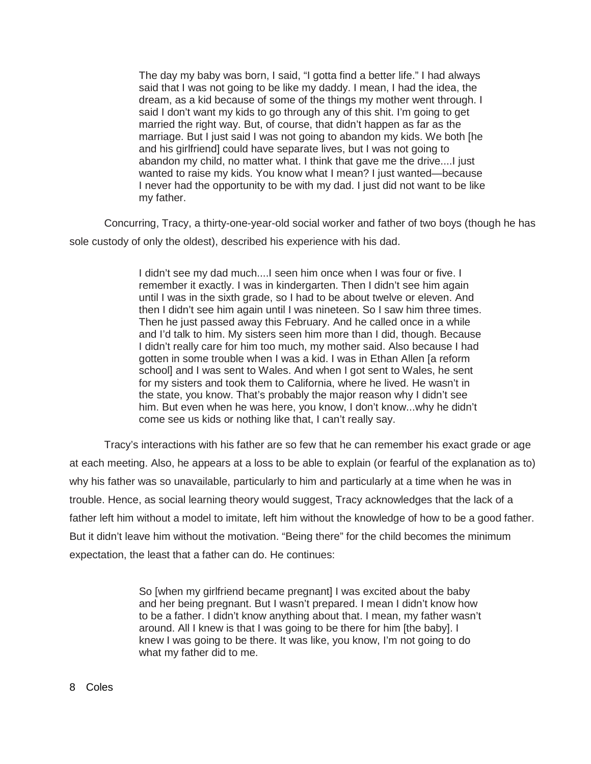The day my baby was born, I said, "I gotta find a better life." I had always said that I was not going to be like my daddy. I mean, I had the idea, the dream, as a kid because of some of the things my mother went through. I said I don't want my kids to go through any of this shit. I'm going to get married the right way. But, of course, that didn't happen as far as the marriage. But I just said I was not going to abandon my kids. We both [he and his girlfriend] could have separate lives, but I was not going to abandon my child, no matter what. I think that gave me the drive....I just wanted to raise my kids. You know what I mean? I just wanted—because I never had the opportunity to be with my dad. I just did not want to be like my father.

Concurring, Tracy, a thirty-one-year-old social worker and father of two boys (though he has sole custody of only the oldest), described his experience with his dad.

> I didn't see my dad much....I seen him once when I was four or five. I remember it exactly. I was in kindergarten. Then I didn't see him again until I was in the sixth grade, so I had to be about twelve or eleven. And then I didn't see him again until I was nineteen. So I saw him three times. Then he just passed away this February. And he called once in a while and I'd talk to him. My sisters seen him more than I did, though. Because I didn't really care for him too much, my mother said. Also because I had gotten in some trouble when I was a kid. I was in Ethan Allen [a reform school] and I was sent to Wales. And when I got sent to Wales, he sent for my sisters and took them to California, where he lived. He wasn't in the state, you know. That's probably the major reason why I didn't see him. But even when he was here, you know, I don't know...why he didn't come see us kids or nothing like that, I can't really say.

Tracy's interactions with his father are so few that he can remember his exact grade or age at each meeting. Also, he appears at a loss to be able to explain (or fearful of the explanation as to) why his father was so unavailable, particularly to him and particularly at a time when he was in trouble. Hence, as social learning theory would suggest, Tracy acknowledges that the lack of a father left him without a model to imitate, left him without the knowledge of how to be a good father. But it didn't leave him without the motivation. "Being there" for the child becomes the minimum expectation, the least that a father can do. He continues:

> So [when my girlfriend became pregnant] I was excited about the baby and her being pregnant. But I wasn't prepared. I mean I didn't know how to be a father. I didn't know anything about that. I mean, my father wasn't around. All I knew is that I was going to be there for him [the baby]. I knew I was going to be there. It was like, you know, I'm not going to do what my father did to me.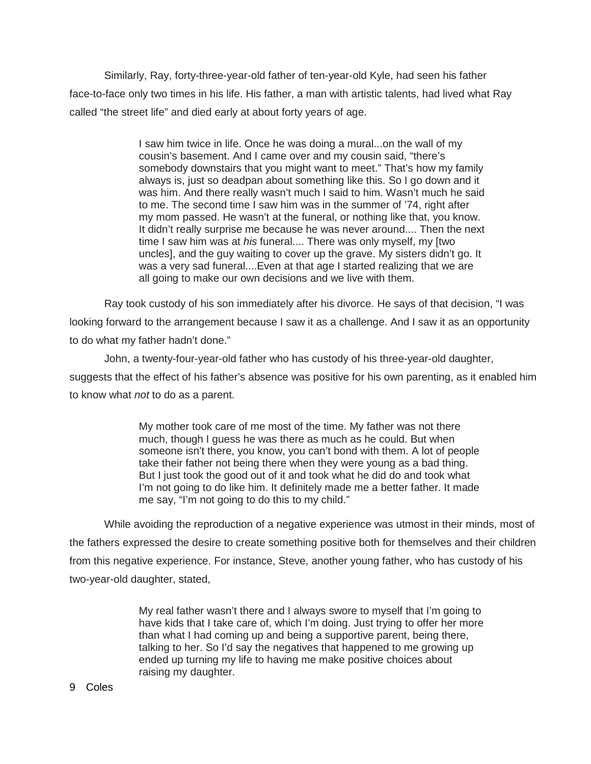Similarly, Ray, forty-three-year-old father of ten-year-old Kyle, had seen his father face-to-face only two times in his life. His father, a man with artistic talents, had lived what Ray called "the street life" and died early at about forty years of age.

> I saw him twice in life. Once he was doing a mural...on the wall of my cousin's basement. And I came over and my cousin said, "there's somebody downstairs that you might want to meet." That's how my family always is, just so deadpan about something like this. So I go down and it was him. And there really wasn't much I said to him. Wasn't much he said to me. The second time I saw him was in the summer of '74, right after my mom passed. He wasn't at the funeral, or nothing like that, you know. It didn't really surprise me because he was never around.... Then the next time I saw him was at *his* funeral.... There was only myself, my [two uncles], and the guy waiting to cover up the grave. My sisters didn't go. It was a very sad funeral....Even at that age I started realizing that we are all going to make our own decisions and we live with them.

Ray took custody of his son immediately after his divorce. He says of that decision, "I was looking forward to the arrangement because I saw it as a challenge. And I saw it as an opportunity to do what my father hadn't done."

John, a twenty-four-year-old father who has custody of his three-year-old daughter, suggests that the effect of his father's absence was positive for his own parenting, as it enabled him to know what *not* to do as a parent.

> My mother took care of me most of the time. My father was not there much, though I guess he was there as much as he could. But when someone isn't there, you know, you can't bond with them. A lot of people take their father not being there when they were young as a bad thing. But I just took the good out of it and took what he did do and took what I'm not going to do like him. It definitely made me a better father. It made me say, "I'm not going to do this to my child."

While avoiding the reproduction of a negative experience was utmost in their minds, most of the fathers expressed the desire to create something positive both for themselves and their children from this negative experience. For instance, Steve, another young father, who has custody of his two-year-old daughter, stated,

> My real father wasn't there and I always swore to myself that I'm going to have kids that I take care of, which I'm doing. Just trying to offer her more than what I had coming up and being a supportive parent, being there, talking to her. So I'd say the negatives that happened to me growing up ended up turning my life to having me make positive choices about raising my daughter.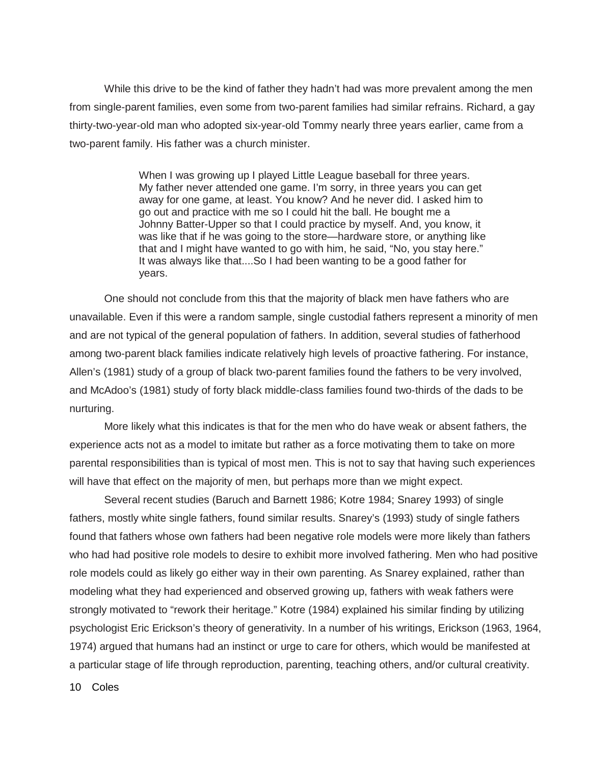While this drive to be the kind of father they hadn't had was more prevalent among the men from single-parent families, even some from two-parent families had similar refrains. Richard, a gay thirty-two-year-old man who adopted six-year-old Tommy nearly three years earlier, came from a two-parent family. His father was a church minister.

> When I was growing up I played Little League baseball for three years. My father never attended one game. I'm sorry, in three years you can get away for one game, at least. You know? And he never did. I asked him to go out and practice with me so I could hit the ball. He bought me a Johnny Batter-Upper so that I could practice by myself. And, you know, it was like that if he was going to the store—hardware store, or anything like that and I might have wanted to go with him, he said, "No, you stay here." It was always like that....So I had been wanting to be a good father for years.

One should not conclude from this that the majority of black men have fathers who are unavailable. Even if this were a random sample, single custodial fathers represent a minority of men and are not typical of the general population of fathers. In addition, several studies of fatherhood among two-parent black families indicate relatively high levels of proactive fathering. For instance, Allen's (1981) study of a group of black two-parent families found the fathers to be very involved, and McAdoo's (1981) study of forty black middle-class families found two-thirds of the dads to be nurturing.

More likely what this indicates is that for the men who do have weak or absent fathers, the experience acts not as a model to imitate but rather as a force motivating them to take on more parental responsibilities than is typical of most men. This is not to say that having such experiences will have that effect on the majority of men, but perhaps more than we might expect.

Several recent studies (Baruch and Barnett 1986; Kotre 1984; Snarey 1993) of single fathers, mostly white single fathers, found similar results. Snarey's (1993) study of single fathers found that fathers whose own fathers had been negative role models were more likely than fathers who had had positive role models to desire to exhibit more involved fathering. Men who had positive role models could as likely go either way in their own parenting. As Snarey explained, rather than modeling what they had experienced and observed growing up, fathers with weak fathers were strongly motivated to "rework their heritage." Kotre (1984) explained his similar finding by utilizing psychologist Eric Erickson's theory of generativity. In a number of his writings, Erickson (1963, 1964, 1974) argued that humans had an instinct or urge to care for others, which would be manifested at a particular stage of life through reproduction, parenting, teaching others, and/or cultural creativity.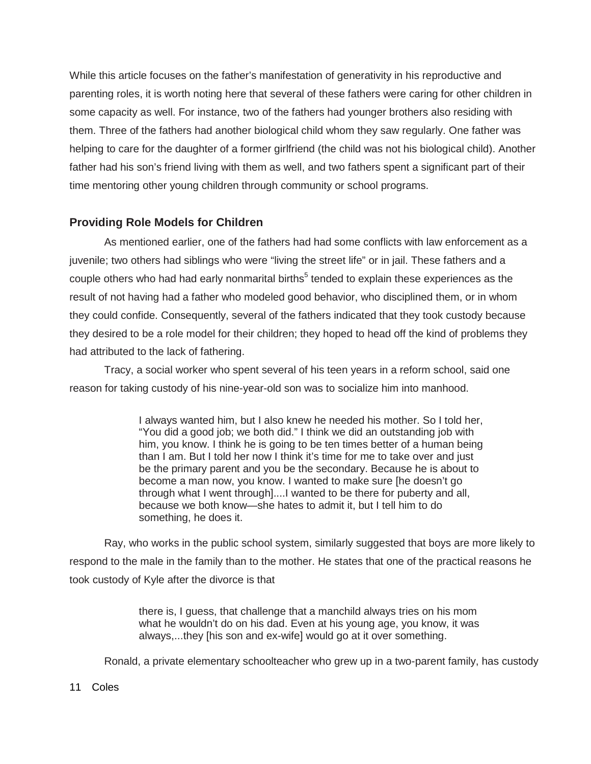While this article focuses on the father's manifestation of generativity in his reproductive and parenting roles, it is worth noting here that several of these fathers were caring for other children in some capacity as well. For instance, two of the fathers had younger brothers also residing with them. Three of the fathers had another biological child whom they saw regularly. One father was helping to care for the daughter of a former girlfriend (the child was not his biological child). Another father had his son's friend living with them as well, and two fathers spent a significant part of their time mentoring other young children through community or school programs.

## **Providing Role Models for Children**

As mentioned earlier, one of the fathers had had some conflicts with law enforcement as a juvenile; two others had siblings who were "living the street life" or in jail. These fathers and a couple others who had had early nonmarital births<sup>5</sup> tended to explain these experiences as the result of not having had a father who modeled good behavior, who disciplined them, or in whom they could confide. Consequently, several of the fathers indicated that they took custody because they desired to be a role model for their children; they hoped to head off the kind of problems they had attributed to the lack of fathering.

Tracy, a social worker who spent several of his teen years in a reform school, said one reason for taking custody of his nine-year-old son was to socialize him into manhood.

> I always wanted him, but I also knew he needed his mother. So I told her, "You did a good job; we both did." I think we did an outstanding job with him, you know. I think he is going to be ten times better of a human being than I am. But I told her now I think it's time for me to take over and just be the primary parent and you be the secondary. Because he is about to become a man now, you know. I wanted to make sure [he doesn't go through what I went through]....I wanted to be there for puberty and all, because we both know—she hates to admit it, but I tell him to do something, he does it.

Ray, who works in the public school system, similarly suggested that boys are more likely to respond to the male in the family than to the mother. He states that one of the practical reasons he took custody of Kyle after the divorce is that

> there is, I guess, that challenge that a manchild always tries on his mom what he wouldn't do on his dad. Even at his young age, you know, it was always,...they [his son and ex-wife] would go at it over something.

Ronald, a private elementary schoolteacher who grew up in a two-parent family, has custody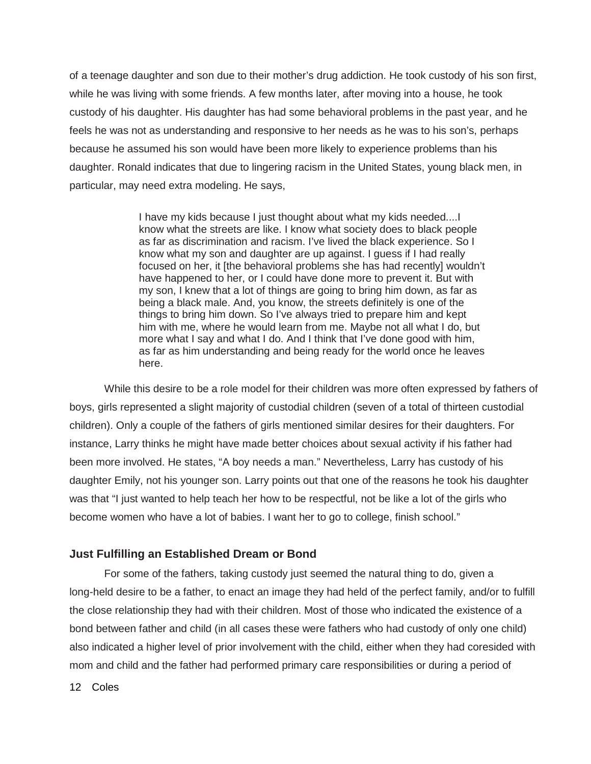of a teenage daughter and son due to their mother's drug addiction. He took custody of his son first, while he was living with some friends. A few months later, after moving into a house, he took custody of his daughter. His daughter has had some behavioral problems in the past year, and he feels he was not as understanding and responsive to her needs as he was to his son's, perhaps because he assumed his son would have been more likely to experience problems than his daughter. Ronald indicates that due to lingering racism in the United States, young black men, in particular, may need extra modeling. He says,

> I have my kids because I just thought about what my kids needed....I know what the streets are like. I know what society does to black people as far as discrimination and racism. I've lived the black experience. So I know what my son and daughter are up against. I guess if I had really focused on her, it [the behavioral problems she has had recently] wouldn't have happened to her, or I could have done more to prevent it. But with my son, I knew that a lot of things are going to bring him down, as far as being a black male. And, you know, the streets definitely is one of the things to bring him down. So I've always tried to prepare him and kept him with me, where he would learn from me. Maybe not all what I do, but more what I say and what I do. And I think that I've done good with him, as far as him understanding and being ready for the world once he leaves here.

While this desire to be a role model for their children was more often expressed by fathers of boys, girls represented a slight majority of custodial children (seven of a total of thirteen custodial children). Only a couple of the fathers of girls mentioned similar desires for their daughters. For instance, Larry thinks he might have made better choices about sexual activity if his father had been more involved. He states, "A boy needs a man." Nevertheless, Larry has custody of his daughter Emily, not his younger son. Larry points out that one of the reasons he took his daughter was that "I just wanted to help teach her how to be respectful, not be like a lot of the girls who become women who have a lot of babies. I want her to go to college, finish school."

## **Just Fulfilling an Established Dream or Bond**

For some of the fathers, taking custody just seemed the natural thing to do, given a long-held desire to be a father, to enact an image they had held of the perfect family, and/or to fulfill the close relationship they had with their children. Most of those who indicated the existence of a bond between father and child (in all cases these were fathers who had custody of only one child) also indicated a higher level of prior involvement with the child, either when they had coresided with mom and child and the father had performed primary care responsibilities or during a period of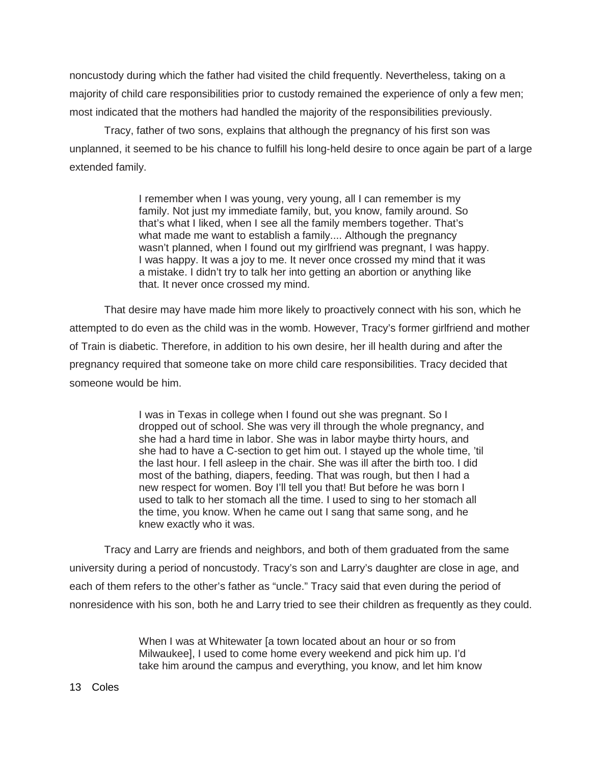noncustody during which the father had visited the child frequently. Nevertheless, taking on a majority of child care responsibilities prior to custody remained the experience of only a few men; most indicated that the mothers had handled the majority of the responsibilities previously.

Tracy, father of two sons, explains that although the pregnancy of his first son was unplanned, it seemed to be his chance to fulfill his long-held desire to once again be part of a large extended family.

> I remember when I was young, very young, all I can remember is my family. Not just my immediate family, but, you know, family around. So that's what I liked, when I see all the family members together. That's what made me want to establish a family.... Although the pregnancy wasn't planned, when I found out my girlfriend was pregnant, I was happy. I was happy. It was a joy to me. It never once crossed my mind that it was a mistake. I didn't try to talk her into getting an abortion or anything like that. It never once crossed my mind.

That desire may have made him more likely to proactively connect with his son, which he attempted to do even as the child was in the womb. However, Tracy's former girlfriend and mother of Train is diabetic. Therefore, in addition to his own desire, her ill health during and after the pregnancy required that someone take on more child care responsibilities. Tracy decided that someone would be him.

> I was in Texas in college when I found out she was pregnant. So I dropped out of school. She was very ill through the whole pregnancy, and she had a hard time in labor. She was in labor maybe thirty hours, and she had to have a C-section to get him out. I stayed up the whole time, 'til the last hour. I fell asleep in the chair. She was ill after the birth too. I did most of the bathing, diapers, feeding. That was rough, but then I had a new respect for women. Boy I'll tell you that! But before he was born I used to talk to her stomach all the time. I used to sing to her stomach all the time, you know. When he came out I sang that same song, and he knew exactly who it was.

Tracy and Larry are friends and neighbors, and both of them graduated from the same university during a period of noncustody. Tracy's son and Larry's daughter are close in age, and each of them refers to the other's father as "uncle." Tracy said that even during the period of nonresidence with his son, both he and Larry tried to see their children as frequently as they could.

> When I was at Whitewater [a town located about an hour or so from Milwaukee], I used to come home every weekend and pick him up. I'd take him around the campus and everything, you know, and let him know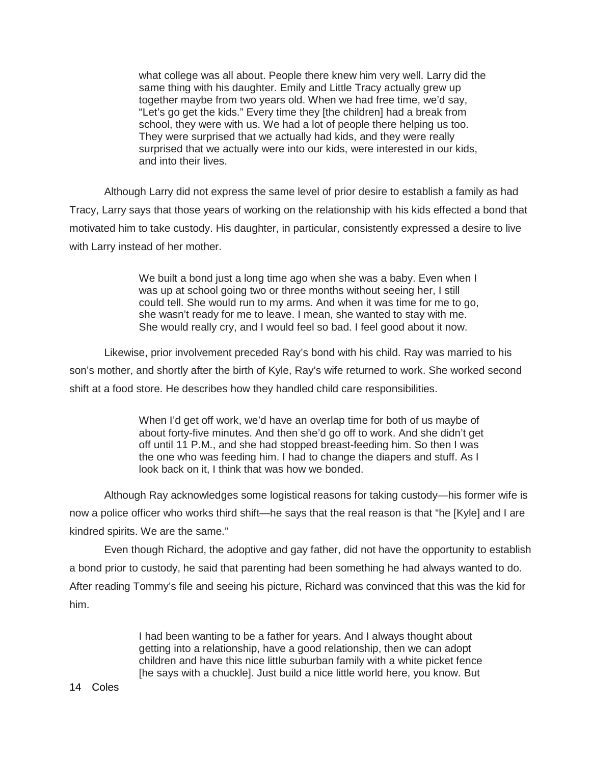what college was all about. People there knew him very well. Larry did the same thing with his daughter. Emily and Little Tracy actually grew up together maybe from two years old. When we had free time, we'd say, "Let's go get the kids." Every time they [the children] had a break from school, they were with us. We had a lot of people there helping us too. They were surprised that we actually had kids, and they were really surprised that we actually were into our kids, were interested in our kids, and into their lives.

Although Larry did not express the same level of prior desire to establish a family as had Tracy, Larry says that those years of working on the relationship with his kids effected a bond that motivated him to take custody. His daughter, in particular, consistently expressed a desire to live with Larry instead of her mother.

> We built a bond just a long time ago when she was a baby. Even when I was up at school going two or three months without seeing her, I still could tell. She would run to my arms. And when it was time for me to go, she wasn't ready for me to leave. I mean, she wanted to stay with me. She would really cry, and I would feel so bad. I feel good about it now.

Likewise, prior involvement preceded Ray's bond with his child. Ray was married to his son's mother, and shortly after the birth of Kyle, Ray's wife returned to work. She worked second shift at a food store. He describes how they handled child care responsibilities.

> When I'd get off work, we'd have an overlap time for both of us maybe of about forty-five minutes. And then she'd go off to work. And she didn't get off until 11 P.M., and she had stopped breast-feeding him. So then I was the one who was feeding him. I had to change the diapers and stuff. As I look back on it, I think that was how we bonded.

Although Ray acknowledges some logistical reasons for taking custody—his former wife is now a police officer who works third shift—he says that the real reason is that "he [Kyle] and I are kindred spirits. We are the same."

Even though Richard, the adoptive and gay father, did not have the opportunity to establish a bond prior to custody, he said that parenting had been something he had always wanted to do. After reading Tommy's file and seeing his picture, Richard was convinced that this was the kid for him.

> I had been wanting to be a father for years. And I always thought about getting into a relationship, have a good relationship, then we can adopt children and have this nice little suburban family with a white picket fence [he says with a chuckle]. Just build a nice little world here, you know. But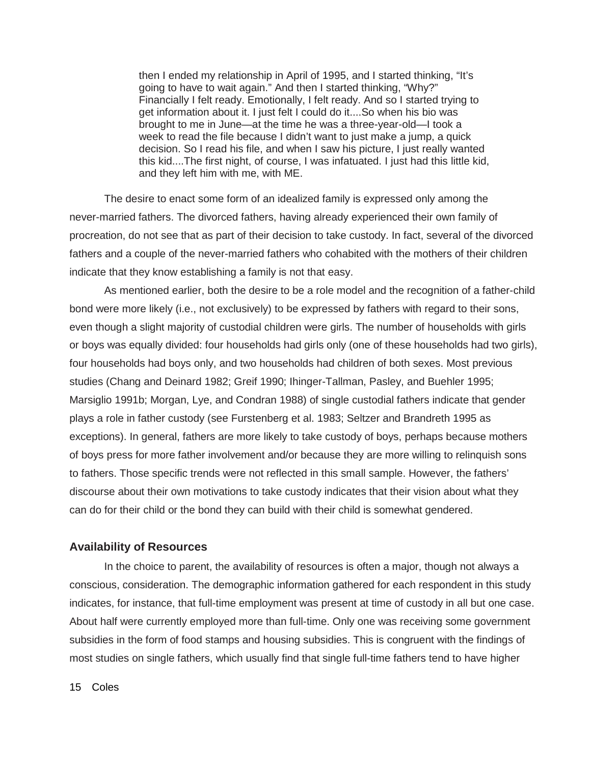then I ended my relationship in April of 1995, and I started thinking, "It's going to have to wait again." And then I started thinking, "Why?" Financially I felt ready. Emotionally, I felt ready. And so I started trying to get information about it. I just felt I could do it....So when his bio was brought to me in June—at the time he was a three-year-old—I took a week to read the file because I didn't want to just make a jump, a quick decision. So I read his file, and when I saw his picture, I just really wanted this kid....The first night, of course, I was infatuated. I just had this little kid, and they left him with me, with ME.

The desire to enact some form of an idealized family is expressed only among the never-married fathers. The divorced fathers, having already experienced their own family of procreation, do not see that as part of their decision to take custody. In fact, several of the divorced fathers and a couple of the never-married fathers who cohabited with the mothers of their children indicate that they know establishing a family is not that easy.

As mentioned earlier, both the desire to be a role model and the recognition of a father-child bond were more likely (i.e., not exclusively) to be expressed by fathers with regard to their sons, even though a slight majority of custodial children were girls. The number of households with girls or boys was equally divided: four households had girls only (one of these households had two girls), four households had boys only, and two households had children of both sexes. Most previous studies (Chang and Deinard 1982; Greif 1990; Ihinger-Tallman, Pasley, and Buehler 1995; Marsiglio 1991b; Morgan, Lye, and Condran 1988) of single custodial fathers indicate that gender plays a role in father custody (see Furstenberg et al. 1983; Seltzer and Brandreth 1995 as exceptions). In general, fathers are more likely to take custody of boys, perhaps because mothers of boys press for more father involvement and/or because they are more willing to relinquish sons to fathers. Those specific trends were not reflected in this small sample. However, the fathers' discourse about their own motivations to take custody indicates that their vision about what they can do for their child or the bond they can build with their child is somewhat gendered.

### **Availability of Resources**

In the choice to parent, the availability of resources is often a major, though not always a conscious, consideration. The demographic information gathered for each respondent in this study indicates, for instance, that full-time employment was present at time of custody in all but one case. About half were currently employed more than full-time. Only one was receiving some government subsidies in the form of food stamps and housing subsidies. This is congruent with the findings of most studies on single fathers, which usually find that single full-time fathers tend to have higher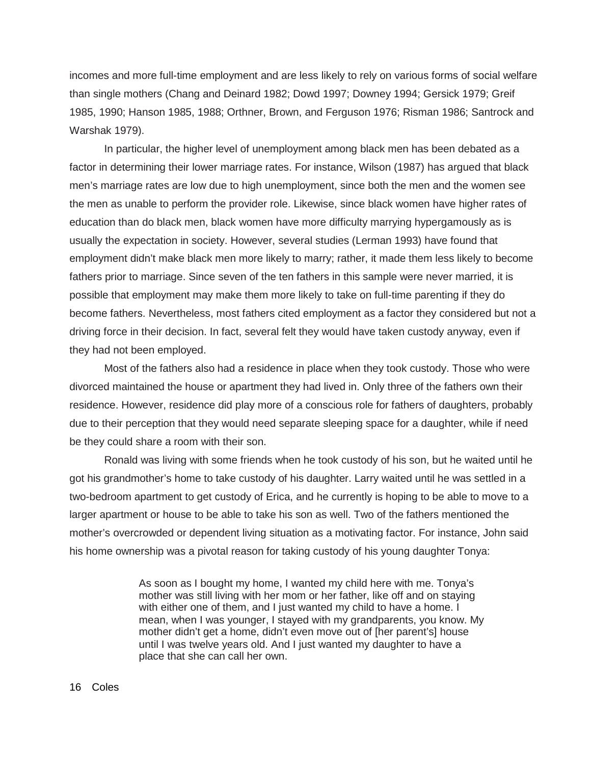incomes and more full-time employment and are less likely to rely on various forms of social welfare than single mothers (Chang and Deinard 1982; Dowd 1997; Downey 1994; Gersick 1979; Greif 1985, 1990; Hanson 1985, 1988; Orthner, Brown, and Ferguson 1976; Risman 1986; Santrock and Warshak 1979).

In particular, the higher level of unemployment among black men has been debated as a factor in determining their lower marriage rates. For instance, Wilson (1987) has argued that black men's marriage rates are low due to high unemployment, since both the men and the women see the men as unable to perform the provider role. Likewise, since black women have higher rates of education than do black men, black women have more difficulty marrying hypergamously as is usually the expectation in society. However, several studies (Lerman 1993) have found that employment didn't make black men more likely to marry; rather, it made them less likely to become fathers prior to marriage. Since seven of the ten fathers in this sample were never married, it is possible that employment may make them more likely to take on full-time parenting if they do become fathers. Nevertheless, most fathers cited employment as a factor they considered but not a driving force in their decision. In fact, several felt they would have taken custody anyway, even if they had not been employed.

Most of the fathers also had a residence in place when they took custody. Those who were divorced maintained the house or apartment they had lived in. Only three of the fathers own their residence. However, residence did play more of a conscious role for fathers of daughters, probably due to their perception that they would need separate sleeping space for a daughter, while if need be they could share a room with their son.

Ronald was living with some friends when he took custody of his son, but he waited until he got his grandmother's home to take custody of his daughter. Larry waited until he was settled in a two-bedroom apartment to get custody of Erica, and he currently is hoping to be able to move to a larger apartment or house to be able to take his son as well. Two of the fathers mentioned the mother's overcrowded or dependent living situation as a motivating factor. For instance, John said his home ownership was a pivotal reason for taking custody of his young daughter Tonya:

> As soon as I bought my home, I wanted my child here with me. Tonya's mother was still living with her mom or her father, like off and on staying with either one of them, and I just wanted my child to have a home. I mean, when I was younger, I stayed with my grandparents, you know. My mother didn't get a home, didn't even move out of [her parent's] house until I was twelve years old. And I just wanted my daughter to have a place that she can call her own.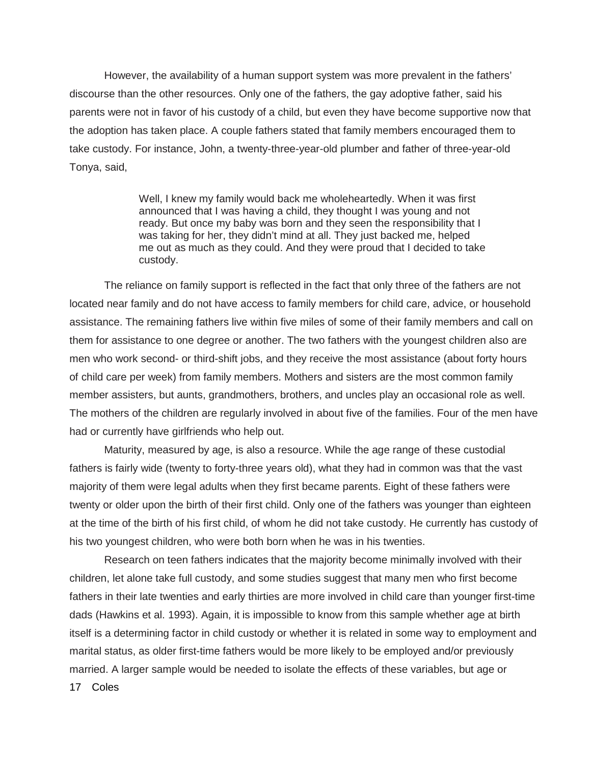However, the availability of a human support system was more prevalent in the fathers' discourse than the other resources. Only one of the fathers, the gay adoptive father, said his parents were not in favor of his custody of a child, but even they have become supportive now that the adoption has taken place. A couple fathers stated that family members encouraged them to take custody. For instance, John, a twenty-three-year-old plumber and father of three-year-old Tonya, said,

> Well, I knew my family would back me wholeheartedly. When it was first announced that I was having a child, they thought I was young and not ready. But once my baby was born and they seen the responsibility that I was taking for her, they didn't mind at all. They just backed me, helped me out as much as they could. And they were proud that I decided to take custody.

The reliance on family support is reflected in the fact that only three of the fathers are not located near family and do not have access to family members for child care, advice, or household assistance. The remaining fathers live within five miles of some of their family members and call on them for assistance to one degree or another. The two fathers with the youngest children also are men who work second- or third-shift jobs, and they receive the most assistance (about forty hours of child care per week) from family members. Mothers and sisters are the most common family member assisters, but aunts, grandmothers, brothers, and uncles play an occasional role as well. The mothers of the children are regularly involved in about five of the families. Four of the men have had or currently have girlfriends who help out.

Maturity, measured by age, is also a resource. While the age range of these custodial fathers is fairly wide (twenty to forty-three years old), what they had in common was that the vast majority of them were legal adults when they first became parents. Eight of these fathers were twenty or older upon the birth of their first child. Only one of the fathers was younger than eighteen at the time of the birth of his first child, of whom he did not take custody. He currently has custody of his two youngest children, who were both born when he was in his twenties.

17 Coles Research on teen fathers indicates that the majority become minimally involved with their children, let alone take full custody, and some studies suggest that many men who first become fathers in their late twenties and early thirties are more involved in child care than younger first-time dads (Hawkins et al. 1993). Again, it is impossible to know from this sample whether age at birth itself is a determining factor in child custody or whether it is related in some way to employment and marital status, as older first-time fathers would be more likely to be employed and/or previously married. A larger sample would be needed to isolate the effects of these variables, but age or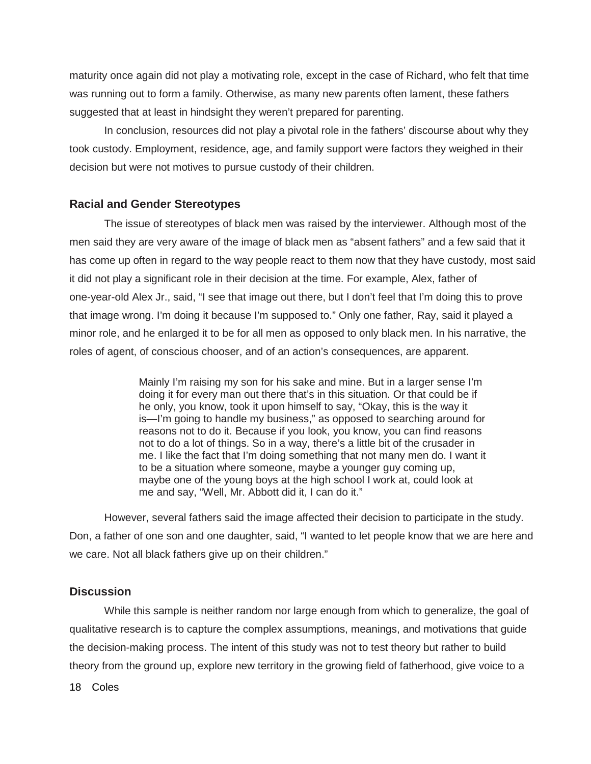maturity once again did not play a motivating role, except in the case of Richard, who felt that time was running out to form a family. Otherwise, as many new parents often lament, these fathers suggested that at least in hindsight they weren't prepared for parenting.

In conclusion, resources did not play a pivotal role in the fathers' discourse about why they took custody. Employment, residence, age, and family support were factors they weighed in their decision but were not motives to pursue custody of their children.

## **Racial and Gender Stereotypes**

The issue of stereotypes of black men was raised by the interviewer. Although most of the men said they are very aware of the image of black men as "absent fathers" and a few said that it has come up often in regard to the way people react to them now that they have custody, most said it did not play a significant role in their decision at the time. For example, Alex, father of one-year-old Alex Jr., said, "I see that image out there, but I don't feel that I'm doing this to prove that image wrong. I'm doing it because I'm supposed to." Only one father, Ray, said it played a minor role, and he enlarged it to be for all men as opposed to only black men. In his narrative, the roles of agent, of conscious chooser, and of an action's consequences, are apparent.

> Mainly I'm raising my son for his sake and mine. But in a larger sense I'm doing it for every man out there that's in this situation. Or that could be if he only, you know, took it upon himself to say, "Okay, this is the way it is—I'm going to handle my business," as opposed to searching around for reasons not to do it. Because if you look, you know, you can find reasons not to do a lot of things. So in a way, there's a little bit of the crusader in me. I like the fact that I'm doing something that not many men do. I want it to be a situation where someone, maybe a younger guy coming up, maybe one of the young boys at the high school I work at, could look at me and say, "Well, Mr. Abbott did it, I can do it."

However, several fathers said the image affected their decision to participate in the study. Don, a father of one son and one daughter, said, "I wanted to let people know that we are here and we care. Not all black fathers give up on their children."

### **Discussion**

While this sample is neither random nor large enough from which to generalize, the goal of qualitative research is to capture the complex assumptions, meanings, and motivations that guide the decision-making process. The intent of this study was not to test theory but rather to build theory from the ground up, explore new territory in the growing field of fatherhood, give voice to a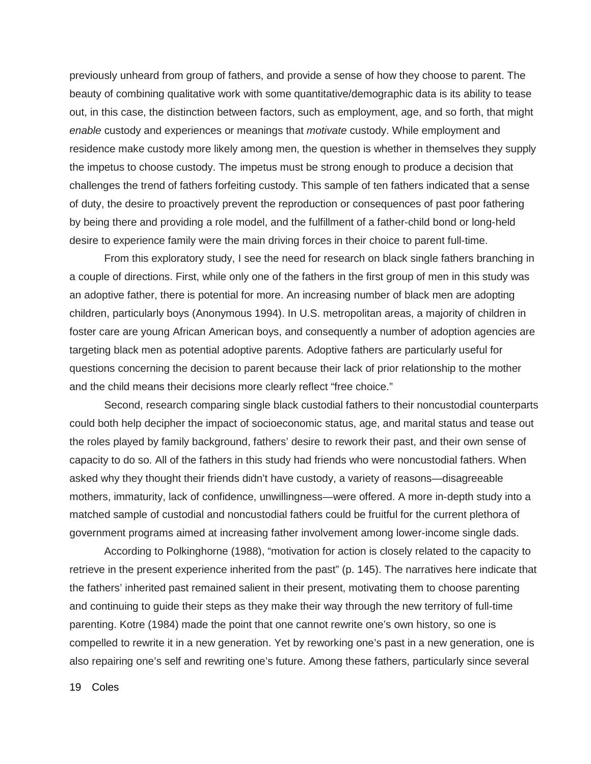previously unheard from group of fathers, and provide a sense of how they choose to parent. The beauty of combining qualitative work with some quantitative/demographic data is its ability to tease out, in this case, the distinction between factors, such as employment, age, and so forth, that might *enable* custody and experiences or meanings that *motivate* custody. While employment and residence make custody more likely among men, the question is whether in themselves they supply the impetus to choose custody. The impetus must be strong enough to produce a decision that challenges the trend of fathers forfeiting custody. This sample of ten fathers indicated that a sense of duty, the desire to proactively prevent the reproduction or consequences of past poor fathering by being there and providing a role model, and the fulfillment of a father-child bond or long-held desire to experience family were the main driving forces in their choice to parent full-time.

From this exploratory study, I see the need for research on black single fathers branching in a couple of directions. First, while only one of the fathers in the first group of men in this study was an adoptive father, there is potential for more. An increasing number of black men are adopting children, particularly boys (Anonymous 1994). In U.S. metropolitan areas, a majority of children in foster care are young African American boys, and consequently a number of adoption agencies are targeting black men as potential adoptive parents. Adoptive fathers are particularly useful for questions concerning the decision to parent because their lack of prior relationship to the mother and the child means their decisions more clearly reflect "free choice."

Second, research comparing single black custodial fathers to their noncustodial counterparts could both help decipher the impact of socioeconomic status, age, and marital status and tease out the roles played by family background, fathers' desire to rework their past, and their own sense of capacity to do so. All of the fathers in this study had friends who were noncustodial fathers. When asked why they thought their friends didn't have custody, a variety of reasons—disagreeable mothers, immaturity, lack of confidence, unwillingness—were offered. A more in-depth study into a matched sample of custodial and noncustodial fathers could be fruitful for the current plethora of government programs aimed at increasing father involvement among lower-income single dads.

According to Polkinghorne (1988), "motivation for action is closely related to the capacity to retrieve in the present experience inherited from the past" (p. 145). The narratives here indicate that the fathers' inherited past remained salient in their present, motivating them to choose parenting and continuing to guide their steps as they make their way through the new territory of full-time parenting. Kotre (1984) made the point that one cannot rewrite one's own history, so one is compelled to rewrite it in a new generation. Yet by reworking one's past in a new generation, one is also repairing one's self and rewriting one's future. Among these fathers, particularly since several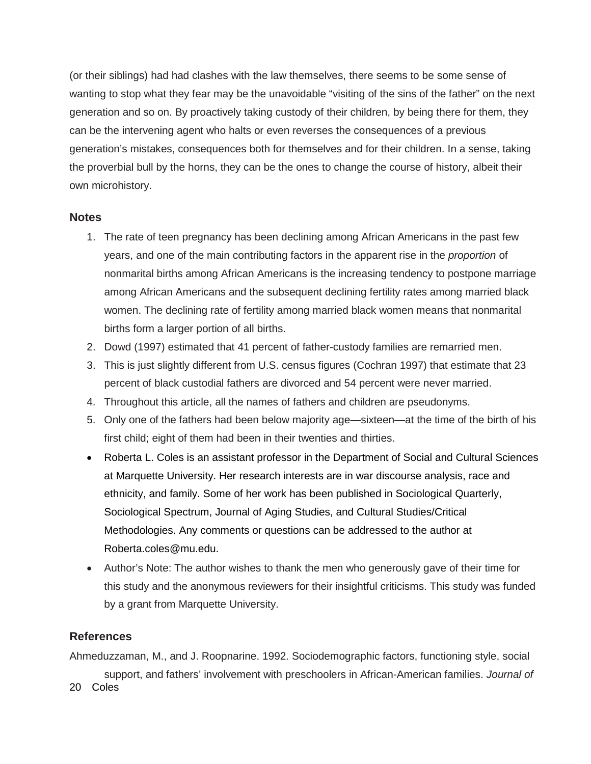(or their siblings) had had clashes with the law themselves, there seems to be some sense of wanting to stop what they fear may be the unavoidable "visiting of the sins of the father" on the next generation and so on. By proactively taking custody of their children, by being there for them, they can be the intervening agent who halts or even reverses the consequences of a previous generation's mistakes, consequences both for themselves and for their children. In a sense, taking the proverbial bull by the horns, they can be the ones to change the course of history, albeit their own microhistory.

## **Notes**

- 1. The rate of teen pregnancy has been declining among African Americans in the past few years, and one of the main contributing factors in the apparent rise in the *proportion* of nonmarital births among African Americans is the increasing tendency to postpone marriage among African Americans and the subsequent declining fertility rates among married black women. The declining rate of fertility among married black women means that nonmarital births form a larger portion of all births.
- 2. Dowd (1997) estimated that 41 percent of father-custody families are remarried men.
- 3. This is just slightly different from U.S. census figures (Cochran 1997) that estimate that 23 percent of black custodial fathers are divorced and 54 percent were never married.
- 4. Throughout this article, all the names of fathers and children are pseudonyms.
- 5. Only one of the fathers had been below majority age—sixteen—at the time of the birth of his first child; eight of them had been in their twenties and thirties.
- Roberta L. Coles is an assistant professor in the Department of Social and Cultural Sciences at Marquette University. Her research interests are in war discourse analysis, race and ethnicity, and family. Some of her work has been published in Sociological Quarterly, Sociological Spectrum, Journal of Aging Studies, and Cultural Studies/Critical Methodologies. Any comments or questions can be addressed to the author at Roberta.coles@mu.edu.
- Author's Note: The author wishes to thank the men who generously gave of their time for this study and the anonymous reviewers for their insightful criticisms. This study was funded by a grant from Marquette University.

## **References**

20 Coles Ahmeduzzaman, M., and J. Roopnarine. 1992. Sociodemographic factors, functioning style, social support, and fathers' involvement with preschoolers in African-American families. *Journal of*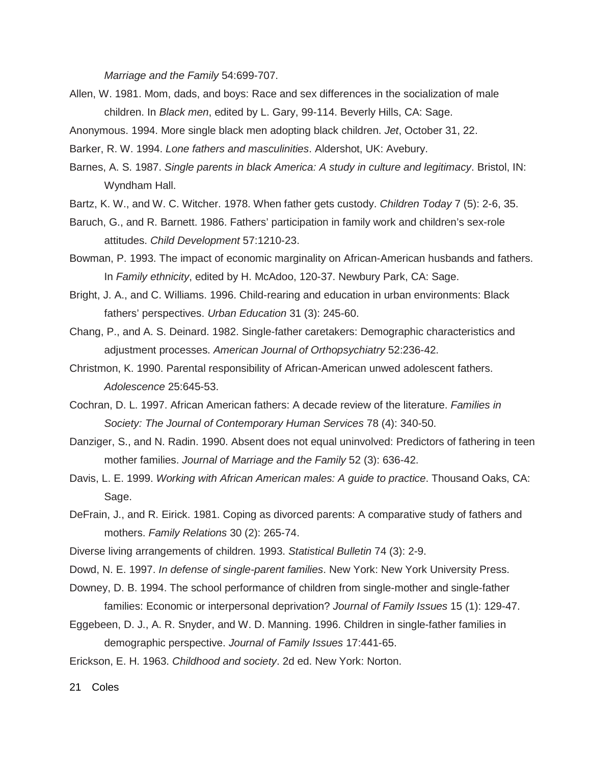*Marriage and the Family* 54:699-707.

- Allen, W. 1981. Mom, dads, and boys: Race and sex differences in the socialization of male children. In *Black men*, edited by L. Gary, 99-114. Beverly Hills, CA: Sage.
- Anonymous. 1994. More single black men adopting black children. *Jet*, October 31, 22.
- Barker, R. W. 1994. *Lone fathers and masculinities*. Aldershot, UK: Avebury.
- Barnes, A. S. 1987. *Single parents in black America: A study in culture and legitimacy*. Bristol, IN: Wyndham Hall.
- Bartz, K. W., and W. C. Witcher. 1978. When father gets custody. *Children Today* 7 (5): 2-6, 35.
- Baruch, G., and R. Barnett. 1986. Fathers' participation in family work and children's sex-role attitudes. *Child Development* 57:1210-23.
- Bowman, P. 1993. The impact of economic marginality on African-American husbands and fathers. In *Family ethnicity*, edited by H. McAdoo, 120-37. Newbury Park, CA: Sage.
- Bright, J. A., and C. Williams. 1996. Child-rearing and education in urban environments: Black fathers' perspectives. *Urban Education* 31 (3): 245-60.
- Chang, P., and A. S. Deinard. 1982. Single-father caretakers: Demographic characteristics and adjustment processes. *American Journal of Orthopsychiatry* 52:236-42.
- Christmon, K. 1990. Parental responsibility of African-American unwed adolescent fathers. *Adolescence* 25:645-53.
- Cochran, D. L. 1997. African American fathers: A decade review of the literature. *Families in Society: The Journal of Contemporary Human Services* 78 (4): 340-50.
- Danziger, S., and N. Radin. 1990. Absent does not equal uninvolved: Predictors of fathering in teen mother families. *Journal of Marriage and the Family* 52 (3): 636-42.
- Davis, L. E. 1999. *Working with African American males: A guide to practice*. Thousand Oaks, CA: Sage.
- DeFrain, J., and R. Eirick. 1981. Coping as divorced parents: A comparative study of fathers and mothers. *Family Relations* 30 (2): 265-74.
- Diverse living arrangements of children. 1993. *Statistical Bulletin* 74 (3): 2-9.
- Dowd, N. E. 1997. *In defense of single-parent families*. New York: New York University Press.
- Downey, D. B. 1994. The school performance of children from single-mother and single-father families: Economic or interpersonal deprivation? *Journal of Family Issues* 15 (1): 129-47.
- Eggebeen, D. J., A. R. Snyder, and W. D. Manning. 1996. Children in single-father families in demographic perspective. *Journal of Family Issues* 17:441-65.
- Erickson, E. H. 1963. *Childhood and society*. 2d ed. New York: Norton.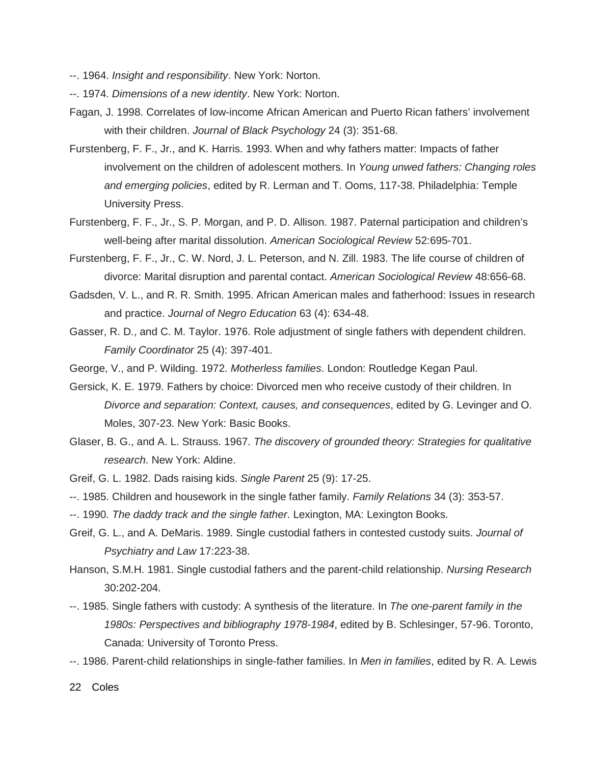- --. 1964. *Insight and responsibility*. New York: Norton.
- --. 1974. *Dimensions of a new identity*. New York: Norton.
- Fagan, J. 1998. Correlates of low-income African American and Puerto Rican fathers' involvement with their children. *Journal of Black Psychology* 24 (3): 351-68.
- Furstenberg, F. F., Jr., and K. Harris. 1993. When and why fathers matter: Impacts of father involvement on the children of adolescent mothers. In *Young unwed fathers: Changing roles and emerging policies*, edited by R. Lerman and T. Ooms, 117-38. Philadelphia: Temple University Press.
- Furstenberg, F. F., Jr., S. P. Morgan, and P. D. Allison. 1987. Paternal participation and children's well-being after marital dissolution. *American Sociological Review* 52:695-701.
- Furstenberg, F. F., Jr., C. W. Nord, J. L. Peterson, and N. Zill. 1983. The life course of children of divorce: Marital disruption and parental contact. *American Sociological Review* 48:656-68.
- Gadsden, V. L., and R. R. Smith. 1995. African American males and fatherhood: Issues in research and practice. *Journal of Negro Education* 63 (4): 634-48.
- Gasser, R. D., and C. M. Taylor. 1976. Role adjustment of single fathers with dependent children. *Family Coordinator* 25 (4): 397-401.
- George, V., and P. Wilding. 1972. *Motherless families*. London: Routledge Kegan Paul.
- Gersick, K. E. 1979. Fathers by choice: Divorced men who receive custody of their children. In *Divorce and separation: Context, causes, and consequences*, edited by G. Levinger and O. Moles, 307-23. New York: Basic Books.
- Glaser, B. G., and A. L. Strauss. 1967. *The discovery of grounded theory: Strategies for qualitative research*. New York: Aldine.
- Greif, G. L. 1982. Dads raising kids. *Single Parent* 25 (9): 17-25.
- --. 1985. Children and housework in the single father family. *Family Relations* 34 (3): 353-57.
- --. 1990. *The daddy track and the single father*. Lexington, MA: Lexington Books.
- Greif, G. L., and A. DeMaris. 1989. Single custodial fathers in contested custody suits. *Journal of Psychiatry and Law* 17:223-38.
- Hanson, S.M.H. 1981. Single custodial fathers and the parent-child relationship. *Nursing Research*  30:202-204.
- --. 1985. Single fathers with custody: A synthesis of the literature. In *The one-parent family in the 1980s: Perspectives and bibliography 1978-1984*, edited by B. Schlesinger, 57-96. Toronto, Canada: University of Toronto Press.
- --. 1986. Parent-child relationships in single-father families. In *Men in families*, edited by R. A. Lewis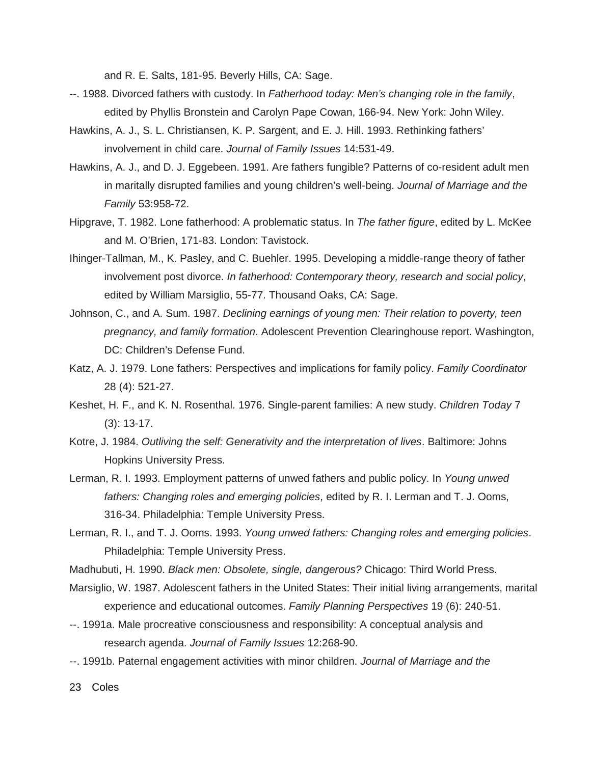and R. E. Salts, 181-95. Beverly Hills, CA: Sage.

- --. 1988. Divorced fathers with custody. In *Fatherhood today: Men's changing role in the family*, edited by Phyllis Bronstein and Carolyn Pape Cowan, 166-94. New York: John Wiley.
- Hawkins, A. J., S. L. Christiansen, K. P. Sargent, and E. J. Hill. 1993. Rethinking fathers' involvement in child care. *Journal of Family Issues* 14:531-49.
- Hawkins, A. J., and D. J. Eggebeen. 1991. Are fathers fungible? Patterns of co-resident adult men in maritally disrupted families and young children's well-being. *Journal of Marriage and the Family* 53:958-72.
- Hipgrave, T. 1982. Lone fatherhood: A problematic status. In *The father figure*, edited by L. McKee and M. O'Brien, 171-83. London: Tavistock.
- Ihinger-Tallman, M., K. Pasley, and C. Buehler. 1995. Developing a middle-range theory of father involvement post divorce. *In fatherhood: Contemporary theory, research and social policy*, edited by William Marsiglio, 55-77. Thousand Oaks, CA: Sage.
- Johnson, C., and A. Sum. 1987. *Declining earnings of young men: Their relation to poverty, teen pregnancy, and family formation*. Adolescent Prevention Clearinghouse report. Washington, DC: Children's Defense Fund.
- Katz, A. J. 1979. Lone fathers: Perspectives and implications for family policy. *Family Coordinator*  28 (4): 521-27.
- Keshet, H. F., and K. N. Rosenthal. 1976. Single-parent families: A new study. *Children Today* 7 (3): 13-17.
- Kotre, J. 1984. *Outliving the self: Generativity and the interpretation of lives*. Baltimore: Johns Hopkins University Press.
- Lerman, R. I. 1993. Employment patterns of unwed fathers and public policy. In *Young unwed fathers: Changing roles and emerging policies*, edited by R. I. Lerman and T. J. Ooms, 316-34. Philadelphia: Temple University Press.
- Lerman, R. I., and T. J. Ooms. 1993. *Young unwed fathers: Changing roles and emerging policies*. Philadelphia: Temple University Press.
- Madhubuti, H. 1990. *Black men: Obsolete, single, dangerous?* Chicago: Third World Press.
- Marsiglio, W. 1987. Adolescent fathers in the United States: Their initial living arrangements, marital experience and educational outcomes. *Family Planning Perspectives* 19 (6): 240-51.
- --. 1991a. Male procreative consciousness and responsibility: A conceptual analysis and research agenda. *Journal of Family Issues* 12:268-90.
- --. 1991b. Paternal engagement activities with minor children. *Journal of Marriage and the*
- 23 Coles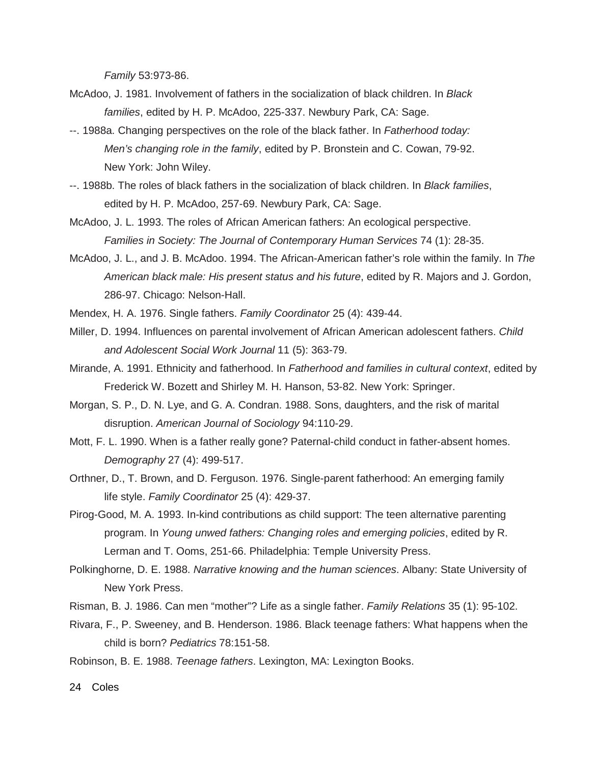*Family* 53:973-86.

- McAdoo, J. 1981. Involvement of fathers in the socialization of black children. In *Black families*, edited by H. P. McAdoo, 225-337. Newbury Park, CA: Sage.
- --. 1988a. Changing perspectives on the role of the black father. In *Fatherhood today: Men's changing role in the family*, edited by P. Bronstein and C. Cowan, 79-92. New York: John Wiley.
- --. 1988b. The roles of black fathers in the socialization of black children. In *Black families*, edited by H. P. McAdoo, 257-69. Newbury Park, CA: Sage.
- McAdoo, J. L. 1993. The roles of African American fathers: An ecological perspective. Families in Society: The Journal of Contemporary Human Services 74 (1): 28-35.
- McAdoo, J. L., and J. B. McAdoo. 1994. The African-American father's role within the family. In *The American black male: His present status and his future*, edited by R. Majors and J. Gordon, 286-97. Chicago: Nelson-Hall.
- Mendex, H. A. 1976. Single fathers. *Family Coordinator* 25 (4): 439-44.
- Miller, D. 1994. Influences on parental involvement of African American adolescent fathers. *Child and Adolescent Social Work Journal* 11 (5): 363-79.
- Mirande, A. 1991. Ethnicity and fatherhood. In *Fatherhood and families in cultural context*, edited by Frederick W. Bozett and Shirley M. H. Hanson, 53-82. New York: Springer.
- Morgan, S. P., D. N. Lye, and G. A. Condran. 1988. Sons, daughters, and the risk of marital disruption. *American Journal of Sociology* 94:110-29.
- Mott, F. L. 1990. When is a father really gone? Paternal-child conduct in father-absent homes. *Demography* 27 (4): 499-517.
- Orthner, D., T. Brown, and D. Ferguson. 1976. Single-parent fatherhood: An emerging family life style. *Family Coordinator* 25 (4): 429-37.
- Pirog-Good, M. A. 1993. In-kind contributions as child support: The teen alternative parenting program. In *Young unwed fathers: Changing roles and emerging policies*, edited by R. Lerman and T. Ooms, 251-66. Philadelphia: Temple University Press.
- Polkinghorne, D. E. 1988. *Narrative knowing and the human sciences*. Albany: State University of New York Press.
- Risman, B. J. 1986. Can men "mother"? Life as a single father. *Family Relations* 35 (1): 95-102.
- Rivara, F., P. Sweeney, and B. Henderson. 1986. Black teenage fathers: What happens when the child is born? *Pediatrics* 78:151-58.
- Robinson, B. E. 1988. *Teenage fathers*. Lexington, MA: Lexington Books.
- 24 Coles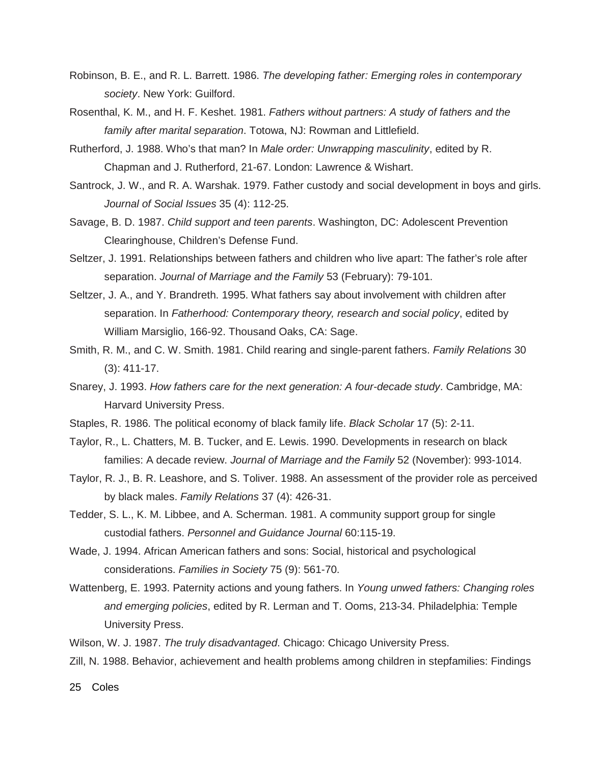- Robinson, B. E., and R. L. Barrett. 1986. *The developing father: Emerging roles in contemporary society*. New York: Guilford.
- Rosenthal, K. M., and H. F. Keshet. 1981. *Fathers without partners: A study of fathers and the family after marital separation*. Totowa, NJ: Rowman and Littlefield.
- Rutherford, J. 1988. Who's that man? In *Male order: Unwrapping masculinity*, edited by R. Chapman and J. Rutherford, 21-67. London: Lawrence & Wishart.
- Santrock, J. W., and R. A. Warshak. 1979. Father custody and social development in boys and girls. *Journal of Social Issues* 35 (4): 112-25.
- Savage, B. D. 1987. *Child support and teen parents*. Washington, DC: Adolescent Prevention Clearinghouse, Children's Defense Fund.
- Seltzer, J. 1991. Relationships between fathers and children who live apart: The father's role after separation. *Journal of Marriage and the Family* 53 (February): 79-101.
- Seltzer, J. A., and Y. Brandreth. 1995. What fathers say about involvement with children after separation. In *Fatherhood: Contemporary theory, research and social policy*, edited by William Marsiglio, 166-92. Thousand Oaks, CA: Sage.
- Smith, R. M., and C. W. Smith. 1981. Child rearing and single-parent fathers. *Family Relations* 30 (3): 411-17.
- Snarey, J. 1993. *How fathers care for the next generation: A four-decade study*. Cambridge, MA: Harvard University Press.
- Staples, R. 1986. The political economy of black family life. *Black Scholar* 17 (5): 2-11.
- Taylor, R., L. Chatters, M. B. Tucker, and E. Lewis. 1990. Developments in research on black families: A decade review. *Journal of Marriage and the Family* 52 (November): 993-1014.
- Taylor, R. J., B. R. Leashore, and S. Toliver. 1988. An assessment of the provider role as perceived by black males. *Family Relations* 37 (4): 426-31.
- Tedder, S. L., K. M. Libbee, and A. Scherman. 1981. A community support group for single custodial fathers. *Personnel and Guidance Journal* 60:115-19.
- Wade, J. 1994. African American fathers and sons: Social, historical and psychological considerations. *Families in Society* 75 (9): 561-70.
- Wattenberg, E. 1993. Paternity actions and young fathers. In *Young unwed fathers: Changing roles and emerging policies*, edited by R. Lerman and T. Ooms, 213-34. Philadelphia: Temple University Press.

Wilson, W. J. 1987. *The truly disadvantaged*. Chicago: Chicago University Press.

Zill, N. 1988. Behavior, achievement and health problems among children in stepfamilies: Findings